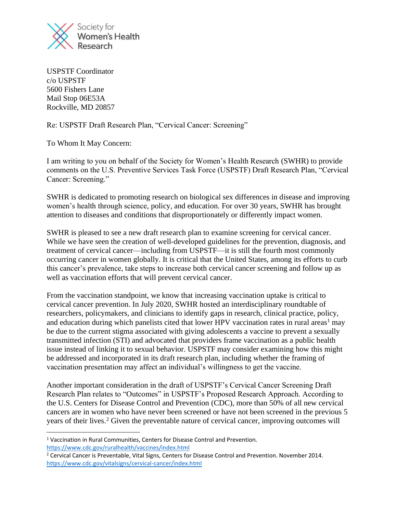

USPSTF Coordinator c/o USPSTF 5600 Fishers Lane Mail Stop 06E53A Rockville, MD 20857

Re: USPSTF Draft Research Plan, "Cervical Cancer: Screening"

To Whom It May Concern:

I am writing to you on behalf of the Society for Women's Health Research (SWHR) to provide comments on the U.S. Preventive Services Task Force (USPSTF) Draft Research Plan, "Cervical Cancer: Screening."

SWHR is dedicated to promoting research on biological sex differences in disease and improving women's health through science, policy, and education. For over 30 years, SWHR has brought attention to diseases and conditions that disproportionately or differently impact women.

SWHR is pleased to see a new draft research plan to examine screening for cervical cancer. While we have seen the creation of well-developed guidelines for the prevention, diagnosis, and treatment of cervical cancer—including from USPSTF—it is still the fourth most commonly occurring cancer in women globally. It is critical that the United States, among its efforts to curb this cancer's prevalence, take steps to increase both cervical cancer screening and follow up as well as vaccination efforts that will prevent cervical cancer.

From the vaccination standpoint, we know that increasing vaccination uptake is critical to cervical cancer prevention. In July 2020, SWHR hosted an interdisciplinary roundtable of researchers, policymakers, and clinicians to identify gaps in research, clinical practice, policy, and education during which panelists cited that lower HPV vaccination rates in rural areas<sup>1</sup> may be due to the current stigma associated with giving adolescents a vaccine to prevent a sexually transmitted infection (STI) and advocated that providers frame vaccination as a public health issue instead of linking it to sexual behavior. USPSTF may consider examining how this might be addressed and incorporated in its draft research plan, including whether the framing of vaccination presentation may affect an individual's willingness to get the vaccine.

Another important consideration in the draft of USPSTF's Cervical Cancer Screening Draft Research Plan relates to "Outcomes" in USPSTF's Proposed Research Approach. According to the U.S. Centers for Disease Control and Prevention (CDC), more than 50% of all new cervical cancers are in women who have never been screened or have not been screened in the previous 5 years of their lives.<sup>2</sup> Given the preventable nature of cervical cancer, improving outcomes will

<sup>1</sup> Vaccination in Rural Communities, Centers for Disease Control and Prevention. <https://www.cdc.gov/ruralhealth/vaccines/index.html>

<sup>&</sup>lt;sup>2</sup> Cervical Cancer is Preventable, Vital Signs, Centers for Disease Control and Prevention. November 2014. <https://www.cdc.gov/vitalsigns/cervical-cancer/index.html>